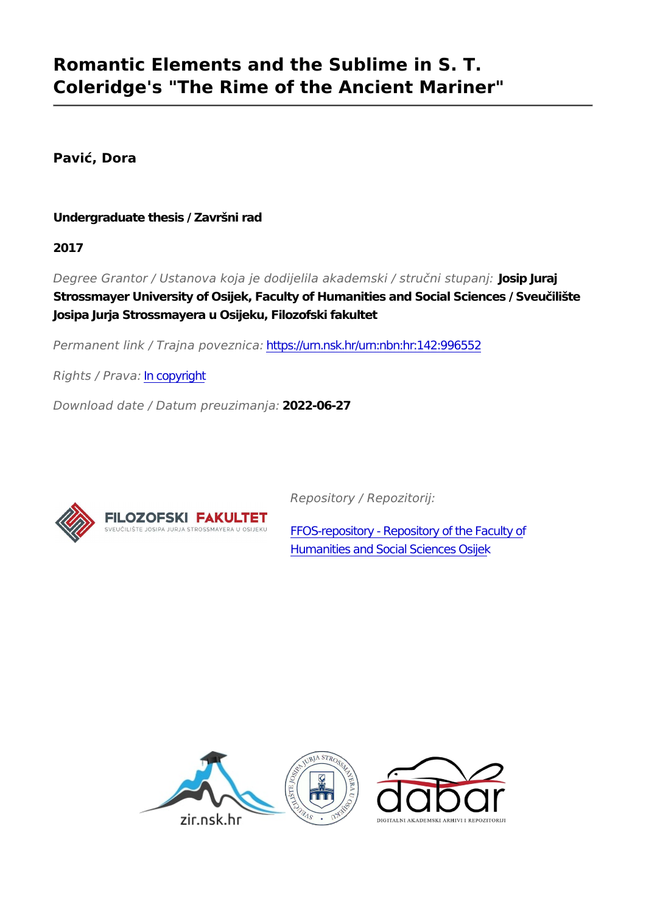# **Romantic Elements and the Sublime in S. T. Coleridge's "The Rime of the Ancient Mariner"**

**Pavić, Dora**

**Undergraduate thesis / Završni rad**

**2017**

*Degree Grantor / Ustanova koja je dodijelila akademski / stručni stupanj:* **Josip Juraj Strossmayer University of Osijek, Faculty of Humanities and Social Sciences / Sveučilište Josipa Jurja Strossmayera u Osijeku, Filozofski fakultet**

*Permanent link / Trajna poveznica:* <https://urn.nsk.hr/urn:nbn:hr:142:996552>

*Rights / Prava:* [In copyright](http://rightsstatements.org/vocab/InC/1.0/)

*Download date / Datum preuzimanja:* **2022-06-27**



*Repository / Repozitorij:*

[FFOS-repository - Repository of the Faculty of](https://repozitorij.ffos.hr) [Humanities and Social Sciences Osijek](https://repozitorij.ffos.hr)

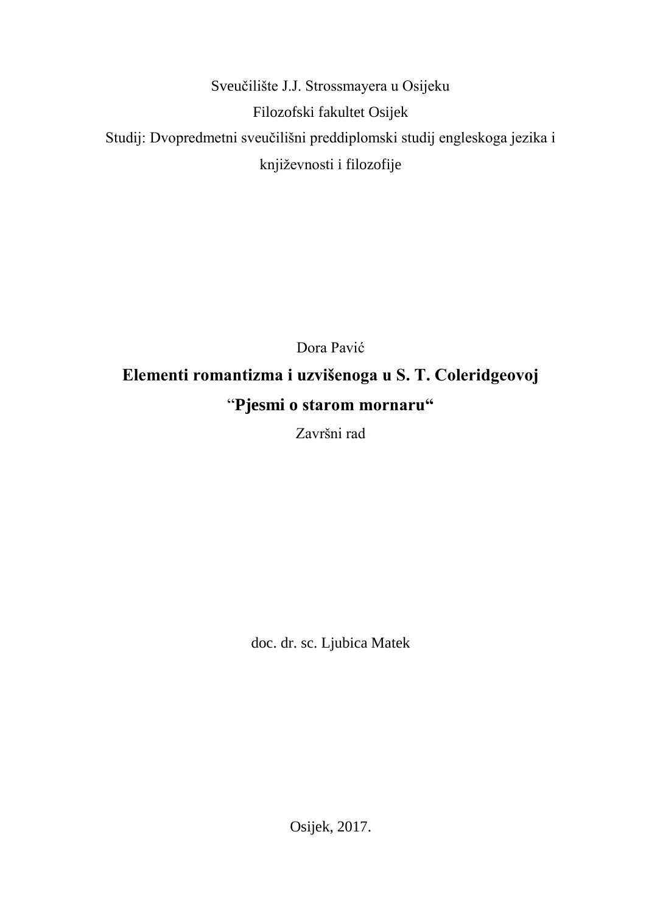Sveučilište J.J. Strossmayera u Osijeku Filozofski fakultet Osijek Studij: Dvopredmetni sveučilišni preddiplomski studij engleskoga jezika i književnosti i filozofije

Dora Pavić **Elementi romantizma i uzvišenoga u S. T. Coleridgeovoj** "**Pjesmi o starom mornaru"**

Završni rad

doc. dr. sc. Ljubica Matek

Osijek, 2017.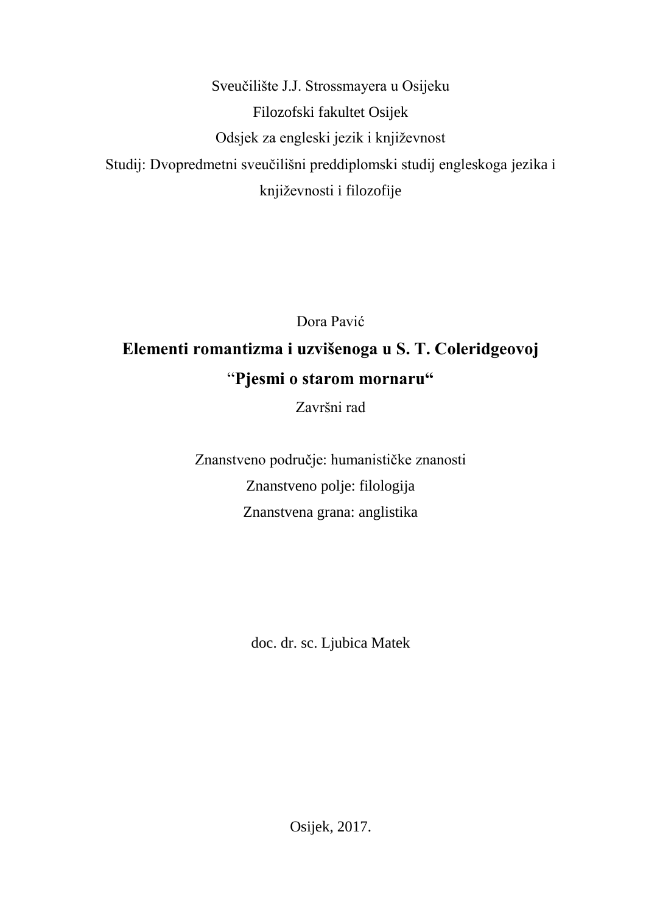Sveučilište J.J. Strossmayera u Osijeku Filozofski fakultet Osijek Odsjek za engleski jezik i književnost Studij: Dvopredmetni sveučilišni preddiplomski studij engleskoga jezika i književnosti i filozofije

Dora Pavić **Elementi romantizma i uzvišenoga u S. T. Coleridgeovoj** "**Pjesmi o starom mornaru"**

Završni rad

Znanstveno područje: humanističke znanosti Znanstveno polje: filologija Znanstvena grana: anglistika

doc. dr. sc. Ljubica Matek

Osijek, 2017.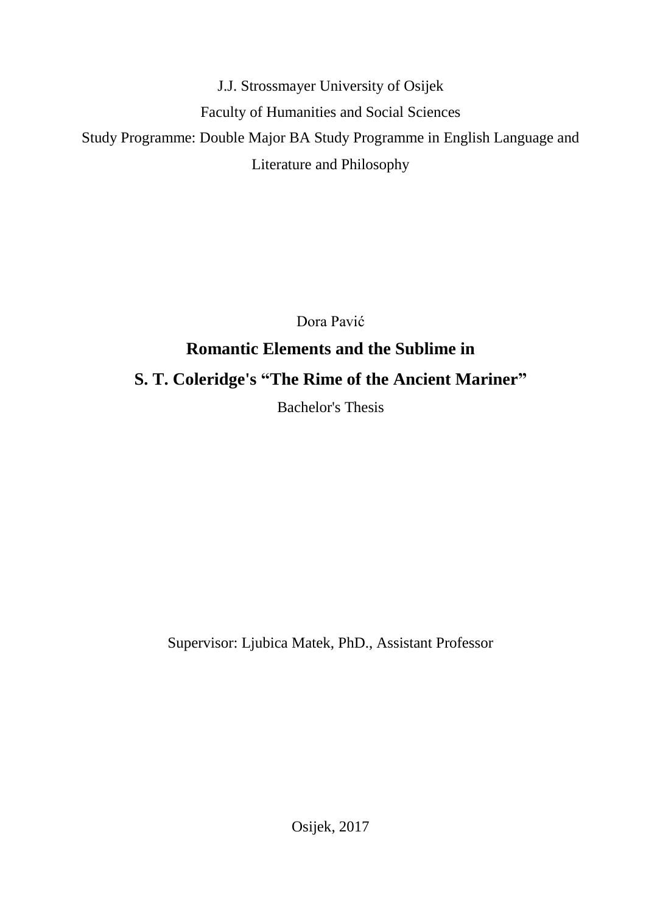J.J. Strossmayer University of Osijek Faculty of Humanities and Social Sciences Study Programme: Double Major BA Study Programme in English Language and Literature and Philosophy

> Dora Pavić **Romantic Elements and the Sublime in S. T. Coleridge's "The Rime of the Ancient Mariner"**

> > Bachelor's Thesis

Supervisor: Ljubica Matek, PhD., Assistant Professor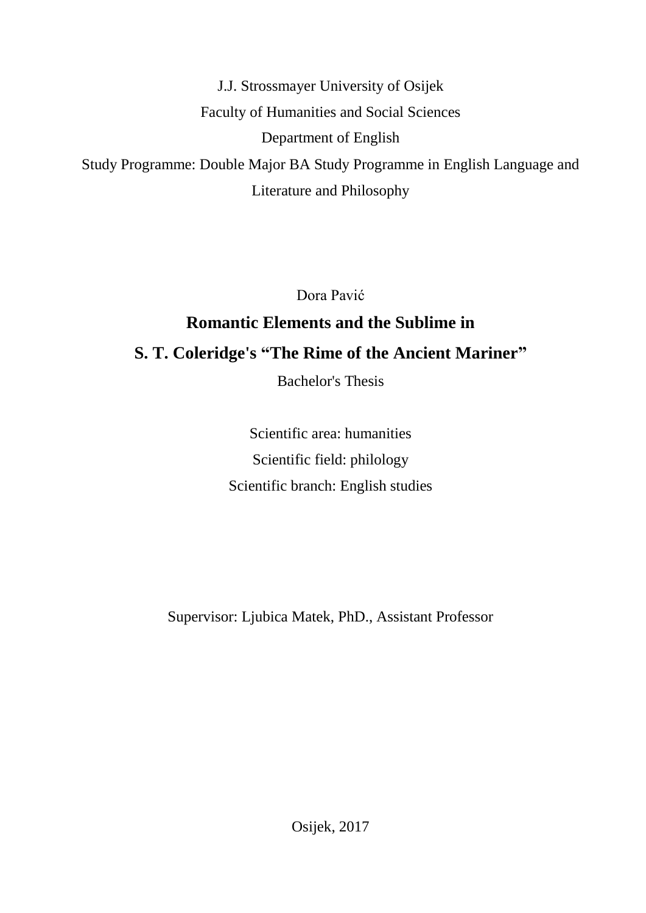J.J. Strossmayer University of Osijek Faculty of Humanities and Social Sciences Department of English Study Programme: Double Major BA Study Programme in English Language and Literature and Philosophy

Dora Pavić

# **Romantic Elements and the Sublime in S. T. Coleridge's "The Rime of the Ancient Mariner"**

Bachelor's Thesis

Scientific area: humanities Scientific field: philology Scientific branch: English studies

Supervisor: Ljubica Matek, PhD., Assistant Professor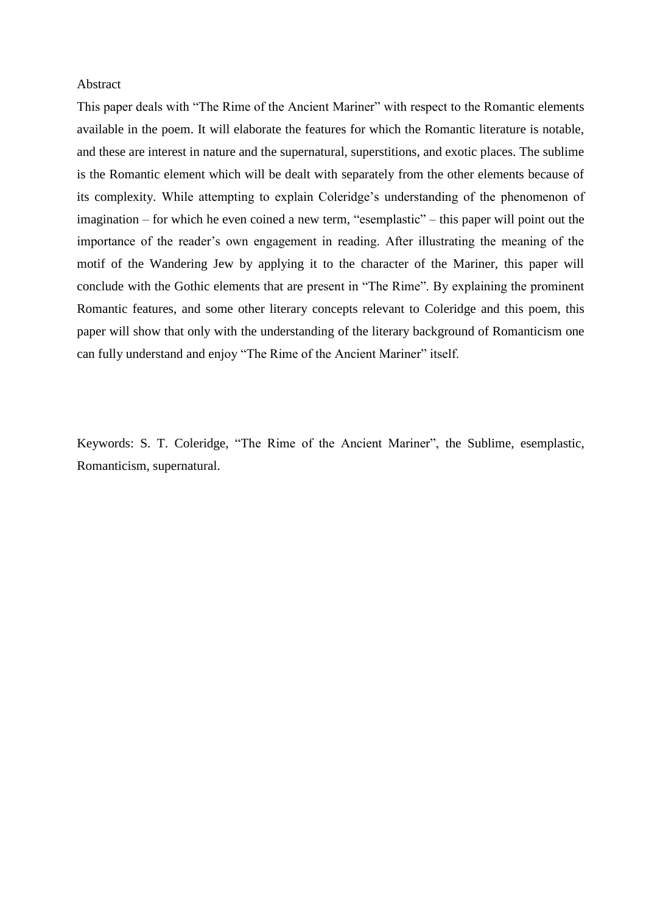#### Abstract

This paper deals with "The Rime of the Ancient Mariner" with respect to the Romantic elements available in the poem. It will elaborate the features for which the Romantic literature is notable, and these are interest in nature and the supernatural, superstitions, and exotic places. The sublime is the Romantic element which will be dealt with separately from the other elements because of its complexity. While attempting to explain Coleridge's understanding of the phenomenon of imagination – for which he even coined a new term, "esemplastic" – this paper will point out the importance of the reader's own engagement in reading. After illustrating the meaning of the motif of the Wandering Jew by applying it to the character of the Mariner, this paper will conclude with the Gothic elements that are present in "The Rime". By explaining the prominent Romantic features, and some other literary concepts relevant to Coleridge and this poem, this paper will show that only with the understanding of the literary background of Romanticism one can fully understand and enjoy "The Rime of the Ancient Mariner" itself.

Keywords: S. T. Coleridge, "The Rime of the Ancient Mariner", the Sublime, esemplastic, Romanticism, supernatural.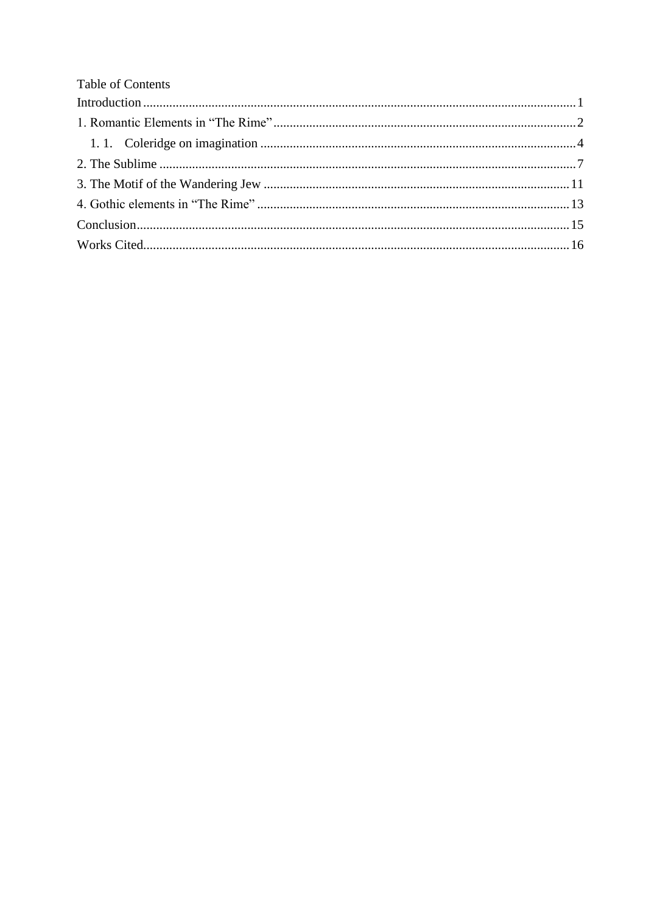| Table of Contents |  |
|-------------------|--|
|                   |  |
|                   |  |
|                   |  |
|                   |  |
|                   |  |
|                   |  |
|                   |  |
|                   |  |
|                   |  |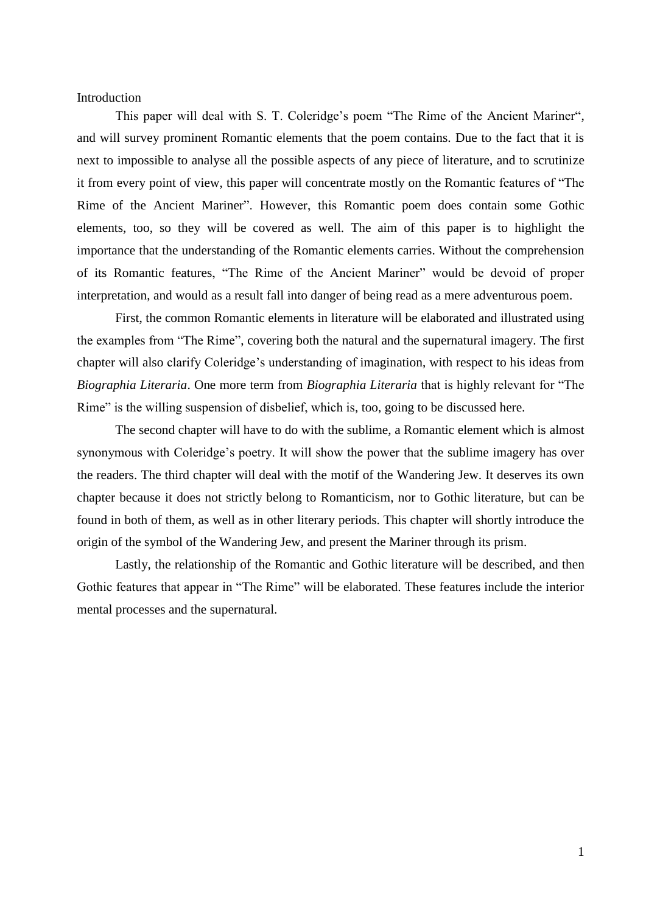<span id="page-7-0"></span>Introduction

This paper will deal with S. T. Coleridge's poem "The Rime of the Ancient Mariner", and will survey prominent Romantic elements that the poem contains. Due to the fact that it is next to impossible to analyse all the possible aspects of any piece of literature, and to scrutinize it from every point of view, this paper will concentrate mostly on the Romantic features of "The Rime of the Ancient Mariner". However, this Romantic poem does contain some Gothic elements, too, so they will be covered as well. The aim of this paper is to highlight the importance that the understanding of the Romantic elements carries. Without the comprehension of its Romantic features, "The Rime of the Ancient Mariner" would be devoid of proper interpretation, and would as a result fall into danger of being read as a mere adventurous poem.

First, the common Romantic elements in literature will be elaborated and illustrated using the examples from "The Rime", covering both the natural and the supernatural imagery. The first chapter will also clarify Coleridge's understanding of imagination, with respect to his ideas from *Biographia Literaria*. One more term from *Biographia Literaria* that is highly relevant for "The Rime" is the willing suspension of disbelief, which is, too, going to be discussed here.

The second chapter will have to do with the sublime, a Romantic element which is almost synonymous with Coleridge's poetry. It will show the power that the sublime imagery has over the readers. The third chapter will deal with the motif of the Wandering Jew. It deserves its own chapter because it does not strictly belong to Romanticism, nor to Gothic literature, but can be found in both of them, as well as in other literary periods. This chapter will shortly introduce the origin of the symbol of the Wandering Jew, and present the Mariner through its prism.

Lastly, the relationship of the Romantic and Gothic literature will be described, and then Gothic features that appear in "The Rime" will be elaborated. These features include the interior mental processes and the supernatural.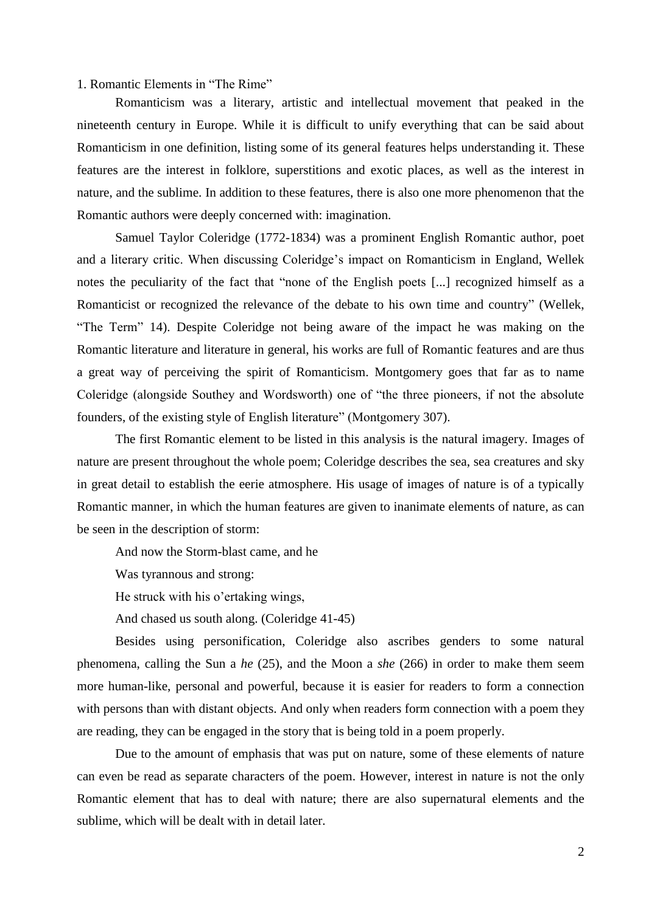<span id="page-8-0"></span>1. Romantic Elements in "The Rime"

Romanticism was a literary, artistic and intellectual movement that peaked in the nineteenth century in Europe. While it is difficult to unify everything that can be said about Romanticism in one definition, listing some of its general features helps understanding it. These features are the interest in folklore, superstitions and exotic places, as well as the interest in nature, and the sublime. In addition to these features, there is also one more phenomenon that the Romantic authors were deeply concerned with: imagination.

Samuel Taylor Coleridge (1772-1834) was a prominent English Romantic author, poet and a literary critic. When discussing Coleridge's impact on Romanticism in England, Wellek notes the peculiarity of the fact that "none of the English poets [...] recognized himself as a Romanticist or recognized the relevance of the debate to his own time and country" (Wellek, "The Term" 14). Despite Coleridge not being aware of the impact he was making on the Romantic literature and literature in general, his works are full of Romantic features and are thus a great way of perceiving the spirit of Romanticism. Montgomery goes that far as to name Coleridge (alongside Southey and Wordsworth) one of "the three pioneers, if not the absolute founders, of the existing style of English literature" (Montgomery 307).

The first Romantic element to be listed in this analysis is the natural imagery. Images of nature are present throughout the whole poem; Coleridge describes the sea, sea creatures and sky in great detail to establish the eerie atmosphere. His usage of images of nature is of a typically Romantic manner, in which the human features are given to inanimate elements of nature, as can be seen in the description of storm:

And now the Storm-blast came, and he

Was tyrannous and strong:

He struck with his o'ertaking wings,

And chased us south along. (Coleridge 41-45)

Besides using personification, Coleridge also ascribes genders to some natural phenomena, calling the Sun a *he* (25), and the Moon a *she* (266) in order to make them seem more human-like, personal and powerful, because it is easier for readers to form a connection with persons than with distant objects. And only when readers form connection with a poem they are reading, they can be engaged in the story that is being told in a poem properly.

Due to the amount of emphasis that was put on nature, some of these elements of nature can even be read as separate characters of the poem. However, interest in nature is not the only Romantic element that has to deal with nature; there are also supernatural elements and the sublime, which will be dealt with in detail later.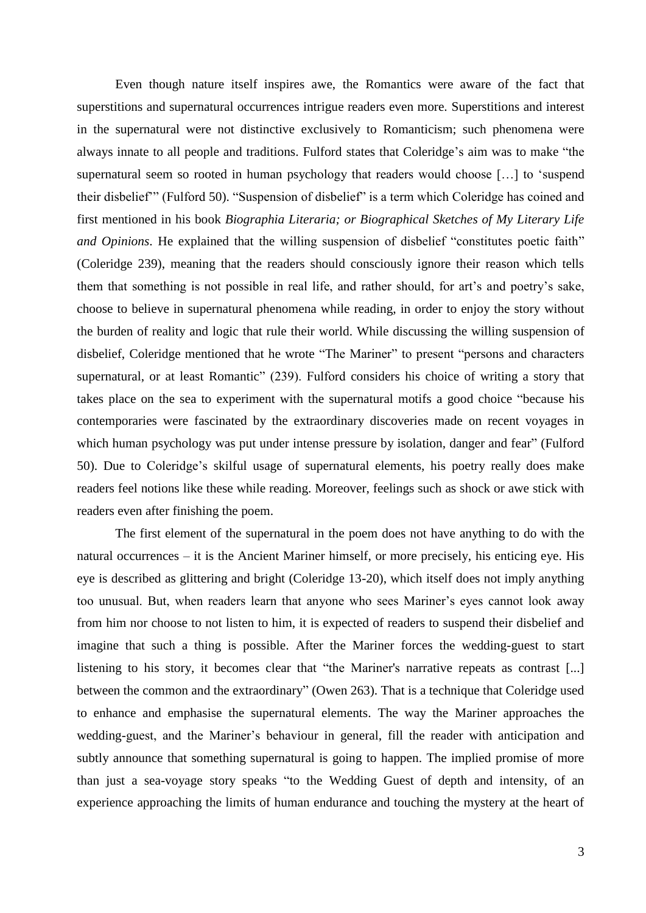Even though nature itself inspires awe, the Romantics were aware of the fact that superstitions and supernatural occurrences intrigue readers even more. Superstitions and interest in the supernatural were not distinctive exclusively to Romanticism; such phenomena were always innate to all people and traditions. Fulford states that Coleridge's aim was to make "the supernatural seem so rooted in human psychology that readers would choose […] to 'suspend their disbelief'" (Fulford 50). "Suspension of disbelief" is a term which Coleridge has coined and first mentioned in his book *Biographia Literaria; or Biographical Sketches of My Literary Life and Opinions*. He explained that the willing suspension of disbelief "constitutes poetic faith" (Coleridge 239), meaning that the readers should consciously ignore their reason which tells them that something is not possible in real life, and rather should, for art's and poetry's sake, choose to believe in supernatural phenomena while reading, in order to enjoy the story without the burden of reality and logic that rule their world. While discussing the willing suspension of disbelief, Coleridge mentioned that he wrote "The Mariner" to present "persons and characters supernatural, or at least Romantic" (239). Fulford considers his choice of writing a story that takes place on the sea to experiment with the supernatural motifs a good choice "because his contemporaries were fascinated by the extraordinary discoveries made on recent voyages in which human psychology was put under intense pressure by isolation, danger and fear" (Fulford 50). Due to Coleridge's skilful usage of supernatural elements, his poetry really does make readers feel notions like these while reading. Moreover, feelings such as shock or awe stick with readers even after finishing the poem.

The first element of the supernatural in the poem does not have anything to do with the natural occurrences – it is the Ancient Mariner himself, or more precisely, his enticing eye. His eye is described as glittering and bright (Coleridge 13-20), which itself does not imply anything too unusual. But, when readers learn that anyone who sees Mariner's eyes cannot look away from him nor choose to not listen to him, it is expected of readers to suspend their disbelief and imagine that such a thing is possible. After the Mariner forces the wedding-guest to start listening to his story, it becomes clear that "the Mariner's narrative repeats as contrast [...] between the common and the extraordinary" (Owen 263). That is a technique that Coleridge used to enhance and emphasise the supernatural elements. The way the Mariner approaches the wedding-guest, and the Mariner's behaviour in general, fill the reader with anticipation and subtly announce that something supernatural is going to happen. The implied promise of more than just a sea-voyage story speaks "to the Wedding Guest of depth and intensity, of an experience approaching the limits of human endurance and touching the mystery at the heart of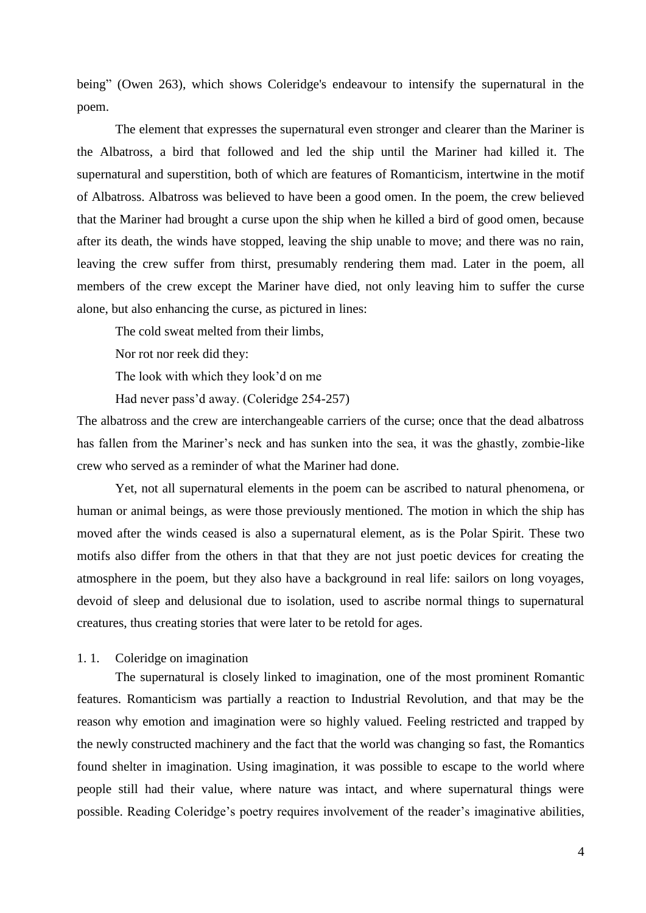being" (Owen 263), which shows Coleridge's endeavour to intensify the supernatural in the poem.

The element that expresses the supernatural even stronger and clearer than the Mariner is the Albatross, a bird that followed and led the ship until the Mariner had killed it. The supernatural and superstition, both of which are features of Romanticism, intertwine in the motif of Albatross. Albatross was believed to have been a good omen. In the poem, the crew believed that the Mariner had brought a curse upon the ship when he killed a bird of good omen, because after its death, the winds have stopped, leaving the ship unable to move; and there was no rain, leaving the crew suffer from thirst, presumably rendering them mad. Later in the poem, all members of the crew except the Mariner have died, not only leaving him to suffer the curse alone, but also enhancing the curse, as pictured in lines:

The cold sweat melted from their limbs,

Nor rot nor reek did they:

The look with which they look'd on me

Had never pass'd away. (Coleridge 254-257)

The albatross and the crew are interchangeable carriers of the curse; once that the dead albatross has fallen from the Mariner's neck and has sunken into the sea, it was the ghastly, zombie-like crew who served as a reminder of what the Mariner had done.

Yet, not all supernatural elements in the poem can be ascribed to natural phenomena, or human or animal beings, as were those previously mentioned. The motion in which the ship has moved after the winds ceased is also a supernatural element, as is the Polar Spirit. These two motifs also differ from the others in that that they are not just poetic devices for creating the atmosphere in the poem, but they also have a background in real life: sailors on long voyages, devoid of sleep and delusional due to isolation, used to ascribe normal things to supernatural creatures, thus creating stories that were later to be retold for ages.

## <span id="page-10-0"></span>1. 1. Coleridge on imagination

The supernatural is closely linked to imagination, one of the most prominent Romantic features. Romanticism was partially a reaction to Industrial Revolution, and that may be the reason why emotion and imagination were so highly valued. Feeling restricted and trapped by the newly constructed machinery and the fact that the world was changing so fast, the Romantics found shelter in imagination. Using imagination, it was possible to escape to the world where people still had their value, where nature was intact, and where supernatural things were possible. Reading Coleridge's poetry requires involvement of the reader's imaginative abilities,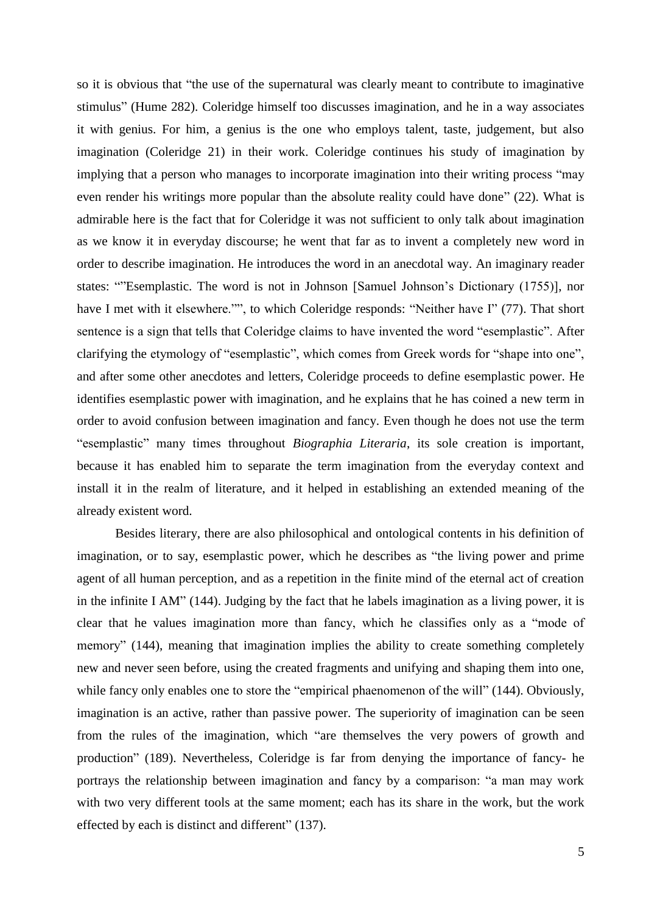so it is obvious that "the use of the supernatural was clearly meant to contribute to imaginative stimulus" (Hume 282). Coleridge himself too discusses imagination, and he in a way associates it with genius. For him, a genius is the one who employs talent, taste, judgement, but also imagination (Coleridge 21) in their work. Coleridge continues his study of imagination by implying that a person who manages to incorporate imagination into their writing process "may even render his writings more popular than the absolute reality could have done" (22). What is admirable here is the fact that for Coleridge it was not sufficient to only talk about imagination as we know it in everyday discourse; he went that far as to invent a completely new word in order to describe imagination. He introduces the word in an anecdotal way. An imaginary reader states: ""Esemplastic. The word is not in Johnson [Samuel Johnson's Dictionary (1755)], nor have I met with it elsewhere."", to which Coleridge responds: "Neither have I" (77). That short sentence is a sign that tells that Coleridge claims to have invented the word "esemplastic". After clarifying the etymology of "esemplastic", which comes from Greek words for "shape into one", and after some other anecdotes and letters, Coleridge proceeds to define esemplastic power. He identifies esemplastic power with imagination, and he explains that he has coined a new term in order to avoid confusion between imagination and fancy. Even though he does not use the term "esemplastic" many times throughout *Biographia Literaria*, its sole creation is important, because it has enabled him to separate the term imagination from the everyday context and install it in the realm of literature, and it helped in establishing an extended meaning of the already existent word.

Besides literary, there are also philosophical and ontological contents in his definition of imagination, or to say, esemplastic power, which he describes as "the living power and prime agent of all human perception, and as a repetition in the finite mind of the eternal act of creation in the infinite I AM" (144). Judging by the fact that he labels imagination as a living power, it is clear that he values imagination more than fancy, which he classifies only as a "mode of memory" (144), meaning that imagination implies the ability to create something completely new and never seen before, using the created fragments and unifying and shaping them into one, while fancy only enables one to store the "empirical phaenomenon of the will" (144). Obviously, imagination is an active, rather than passive power. The superiority of imagination can be seen from the rules of the imagination, which "are themselves the very powers of growth and production" (189). Nevertheless, Coleridge is far from denying the importance of fancy- he portrays the relationship between imagination and fancy by a comparison: "a man may work with two very different tools at the same moment; each has its share in the work, but the work effected by each is distinct and different" (137).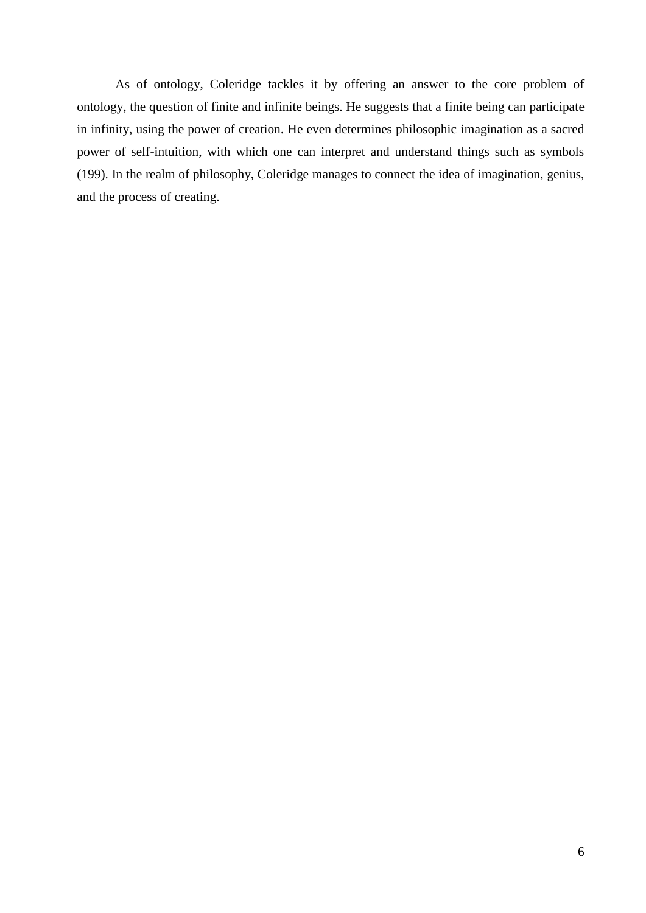As of ontology, Coleridge tackles it by offering an answer to the core problem of ontology, the question of finite and infinite beings. He suggests that a finite being can participate in infinity, using the power of creation. He even determines philosophic imagination as a sacred power of self-intuition, with which one can interpret and understand things such as symbols (199). In the realm of philosophy, Coleridge manages to connect the idea of imagination, genius, and the process of creating.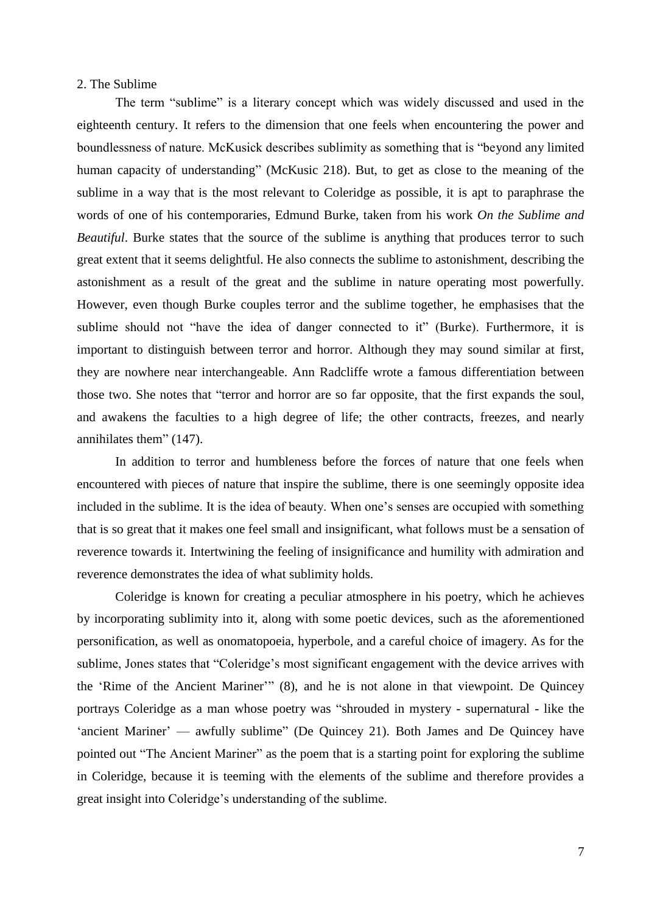# <span id="page-13-0"></span>2. The Sublime

The term "sublime" is a literary concept which was widely discussed and used in the eighteenth century. It refers to the dimension that one feels when encountering the power and boundlessness of nature. McKusick describes sublimity as something that is "beyond any limited human capacity of understanding" (McKusic 218). But, to get as close to the meaning of the sublime in a way that is the most relevant to Coleridge as possible, it is apt to paraphrase the words of one of his contemporaries, Edmund Burke, taken from his work *On the Sublime and Beautiful*. Burke states that the source of the sublime is anything that produces terror to such great extent that it seems delightful. He also connects the sublime to astonishment, describing the astonishment as a result of the great and the sublime in nature operating most powerfully. However, even though Burke couples terror and the sublime together, he emphasises that the sublime should not "have the idea of danger connected to it" (Burke). Furthermore, it is important to distinguish between terror and horror. Although they may sound similar at first, they are nowhere near interchangeable. Ann Radcliffe wrote a famous differentiation between those two. She notes that "terror and horror are so far opposite, that the first expands the soul, and awakens the faculties to a high degree of life; the other contracts, freezes, and nearly annihilates them" (147).

In addition to terror and humbleness before the forces of nature that one feels when encountered with pieces of nature that inspire the sublime, there is one seemingly opposite idea included in the sublime. It is the idea of beauty. When one's senses are occupied with something that is so great that it makes one feel small and insignificant, what follows must be a sensation of reverence towards it. Intertwining the feeling of insignificance and humility with admiration and reverence demonstrates the idea of what sublimity holds.

Coleridge is known for creating a peculiar atmosphere in his poetry, which he achieves by incorporating sublimity into it, along with some poetic devices, such as the aforementioned personification, as well as onomatopoeia, hyperbole, and a careful choice of imagery. As for the sublime, Jones states that "Coleridge's most significant engagement with the device arrives with the 'Rime of the Ancient Mariner'" (8), and he is not alone in that viewpoint. De Quincey portrays Coleridge as a man whose poetry was "shrouded in mystery - supernatural - like the 'ancient Mariner' — awfully sublime" (De Quincey 21). Both James and De Quincey have pointed out "The Ancient Mariner" as the poem that is a starting point for exploring the sublime in Coleridge, because it is teeming with the elements of the sublime and therefore provides a great insight into Coleridge's understanding of the sublime.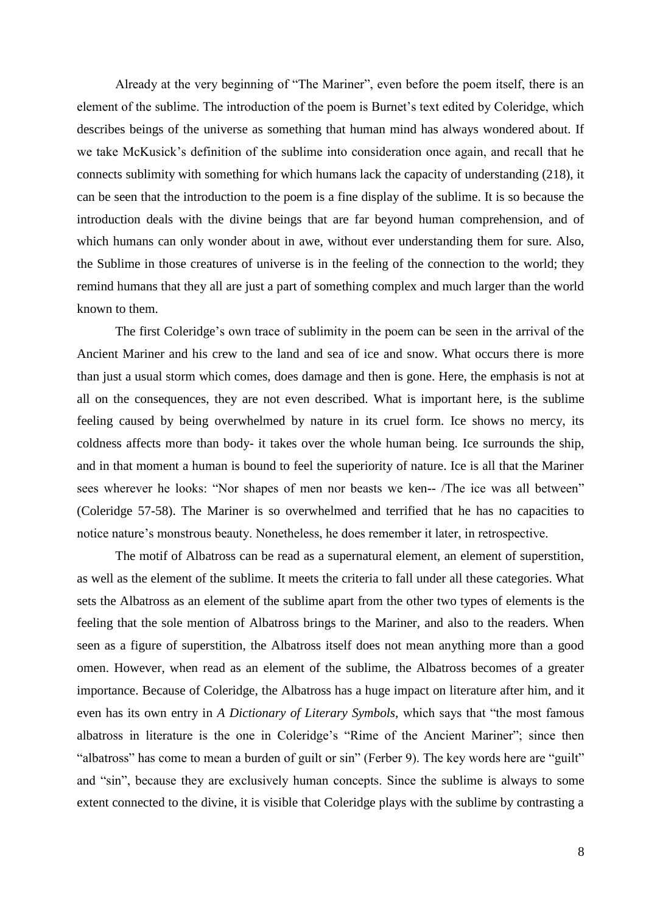Already at the very beginning of "The Mariner", even before the poem itself, there is an element of the sublime. The introduction of the poem is Burnet's text edited by Coleridge, which describes beings of the universe as something that human mind has always wondered about. If we take McKusick's definition of the sublime into consideration once again, and recall that he connects sublimity with something for which humans lack the capacity of understanding (218), it can be seen that the introduction to the poem is a fine display of the sublime. It is so because the introduction deals with the divine beings that are far beyond human comprehension, and of which humans can only wonder about in awe, without ever understanding them for sure. Also, the Sublime in those creatures of universe is in the feeling of the connection to the world; they remind humans that they all are just a part of something complex and much larger than the world known to them.

The first Coleridge's own trace of sublimity in the poem can be seen in the arrival of the Ancient Mariner and his crew to the land and sea of ice and snow. What occurs there is more than just a usual storm which comes, does damage and then is gone. Here, the emphasis is not at all on the consequences, they are not even described. What is important here, is the sublime feeling caused by being overwhelmed by nature in its cruel form. Ice shows no mercy, its coldness affects more than body- it takes over the whole human being. Ice surrounds the ship, and in that moment a human is bound to feel the superiority of nature. Ice is all that the Mariner sees wherever he looks: "Nor shapes of men nor beasts we ken-- /The ice was all between" (Coleridge 57-58). The Mariner is so overwhelmed and terrified that he has no capacities to notice nature's monstrous beauty. Nonetheless, he does remember it later, in retrospective.

The motif of Albatross can be read as a supernatural element, an element of superstition, as well as the element of the sublime. It meets the criteria to fall under all these categories. What sets the Albatross as an element of the sublime apart from the other two types of elements is the feeling that the sole mention of Albatross brings to the Mariner, and also to the readers. When seen as a figure of superstition, the Albatross itself does not mean anything more than a good omen. However, when read as an element of the sublime, the Albatross becomes of a greater importance. Because of Coleridge, the Albatross has a huge impact on literature after him, and it even has its own entry in *A Dictionary of Literary Symbols,* which says that "the most famous albatross in literature is the one in Coleridge's "Rime of the Ancient Mariner"; since then "albatross" has come to mean a burden of guilt or sin" (Ferber 9). The key words here are "guilt" and "sin", because they are exclusively human concepts. Since the sublime is always to some extent connected to the divine, it is visible that Coleridge plays with the sublime by contrasting a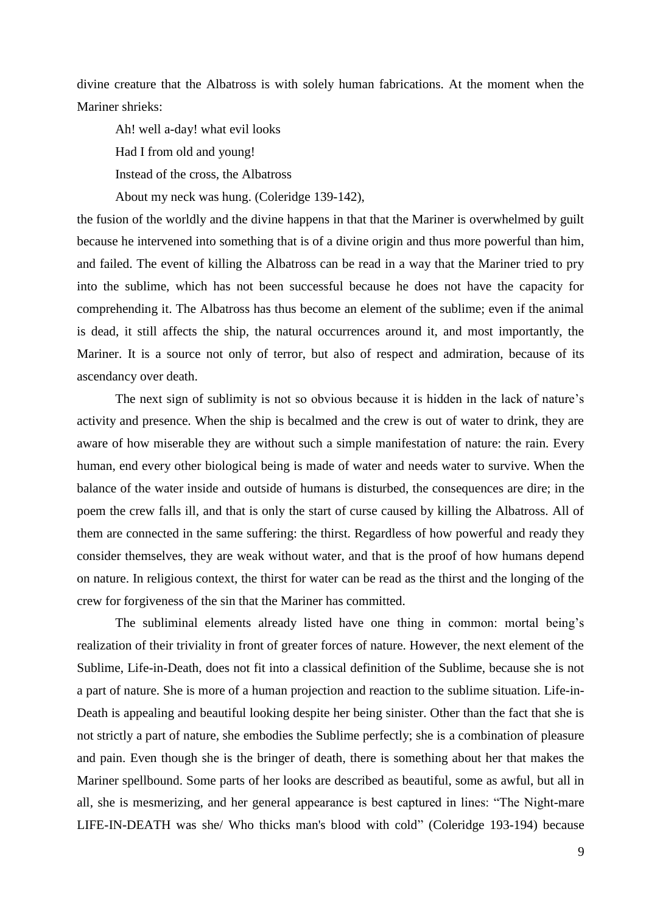divine creature that the Albatross is with solely human fabrications. At the moment when the Mariner shrieks:

Ah! well a-day! what evil looks Had I from old and young! Instead of the cross, the Albatross

About my neck was hung. (Coleridge 139-142),

the fusion of the worldly and the divine happens in that that the Mariner is overwhelmed by guilt because he intervened into something that is of a divine origin and thus more powerful than him, and failed. The event of killing the Albatross can be read in a way that the Mariner tried to pry into the sublime, which has not been successful because he does not have the capacity for comprehending it. The Albatross has thus become an element of the sublime; even if the animal is dead, it still affects the ship, the natural occurrences around it, and most importantly, the Mariner. It is a source not only of terror, but also of respect and admiration, because of its ascendancy over death.

The next sign of sublimity is not so obvious because it is hidden in the lack of nature's activity and presence. When the ship is becalmed and the crew is out of water to drink, they are aware of how miserable they are without such a simple manifestation of nature: the rain. Every human, end every other biological being is made of water and needs water to survive. When the balance of the water inside and outside of humans is disturbed, the consequences are dire; in the poem the crew falls ill, and that is only the start of curse caused by killing the Albatross. All of them are connected in the same suffering: the thirst. Regardless of how powerful and ready they consider themselves, they are weak without water, and that is the proof of how humans depend on nature. In religious context, the thirst for water can be read as the thirst and the longing of the crew for forgiveness of the sin that the Mariner has committed.

The subliminal elements already listed have one thing in common: mortal being's realization of their triviality in front of greater forces of nature. However, the next element of the Sublime, Life-in-Death, does not fit into a classical definition of the Sublime, because she is not a part of nature. She is more of a human projection and reaction to the sublime situation. Life-in-Death is appealing and beautiful looking despite her being sinister. Other than the fact that she is not strictly a part of nature, she embodies the Sublime perfectly; she is a combination of pleasure and pain. Even though she is the bringer of death, there is something about her that makes the Mariner spellbound. Some parts of her looks are described as beautiful, some as awful, but all in all, she is mesmerizing, and her general appearance is best captured in lines: "The Night-mare LIFE-IN-DEATH was she/ Who thicks man's blood with cold" (Coleridge 193-194) because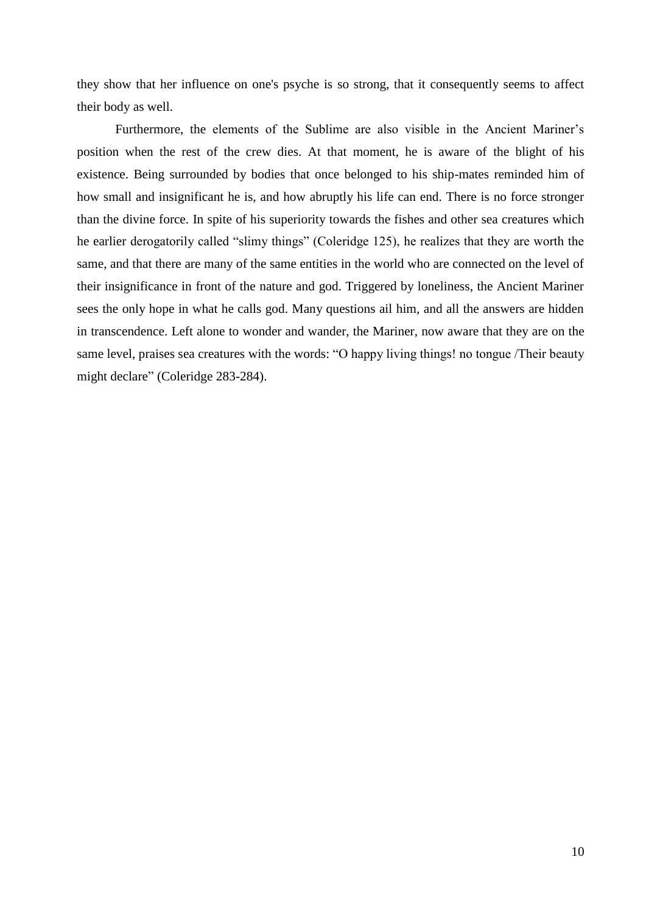they show that her influence on one's psyche is so strong, that it consequently seems to affect their body as well.

Furthermore, the elements of the Sublime are also visible in the Ancient Mariner's position when the rest of the crew dies. At that moment, he is aware of the blight of his existence. Being surrounded by bodies that once belonged to his ship-mates reminded him of how small and insignificant he is, and how abruptly his life can end. There is no force stronger than the divine force. In spite of his superiority towards the fishes and other sea creatures which he earlier derogatorily called "slimy things" (Coleridge 125), he realizes that they are worth the same, and that there are many of the same entities in the world who are connected on the level of their insignificance in front of the nature and god. Triggered by loneliness, the Ancient Mariner sees the only hope in what he calls god. Many questions ail him, and all the answers are hidden in transcendence. Left alone to wonder and wander, the Mariner, now aware that they are on the same level, praises sea creatures with the words: "O happy living things! no tongue /Their beauty might declare" (Coleridge 283-284).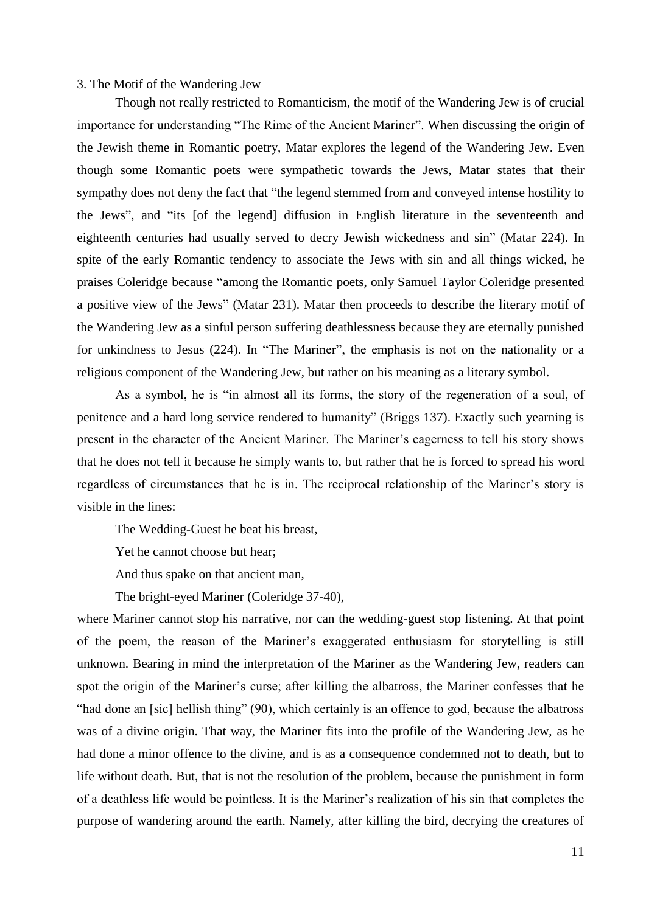#### <span id="page-17-0"></span>3. The Motif of the Wandering Jew

Though not really restricted to Romanticism, the motif of the Wandering Jew is of crucial importance for understanding "The Rime of the Ancient Mariner". When discussing the origin of the Jewish theme in Romantic poetry, Matar explores the legend of the Wandering Jew. Even though some Romantic poets were sympathetic towards the Jews, Matar states that their sympathy does not deny the fact that "the legend stemmed from and conveyed intense hostility to the Jews", and "its [of the legend] diffusion in English literature in the seventeenth and eighteenth centuries had usually served to decry Jewish wickedness and sin" (Matar 224). In spite of the early Romantic tendency to associate the Jews with sin and all things wicked, he praises Coleridge because "among the Romantic poets, only Samuel Taylor Coleridge presented a positive view of the Jews" (Matar 231). Matar then proceeds to describe the literary motif of the Wandering Jew as a sinful person suffering deathlessness because they are eternally punished for unkindness to Jesus (224). In "The Mariner", the emphasis is not on the nationality or a religious component of the Wandering Jew, but rather on his meaning as a literary symbol.

As a symbol, he is "in almost all its forms, the story of the regeneration of a soul, of penitence and a hard long service rendered to humanity" (Briggs 137). Exactly such yearning is present in the character of the Ancient Mariner. The Mariner's eagerness to tell his story shows that he does not tell it because he simply wants to, but rather that he is forced to spread his word regardless of circumstances that he is in. The reciprocal relationship of the Mariner's story is visible in the lines:

The Wedding-Guest he beat his breast,

Yet he cannot choose but hear;

And thus spake on that ancient man,

The bright-eyed Mariner (Coleridge 37-40),

where Mariner cannot stop his narrative, nor can the wedding-guest stop listening. At that point of the poem, the reason of the Mariner's exaggerated enthusiasm for storytelling is still unknown. Bearing in mind the interpretation of the Mariner as the Wandering Jew, readers can spot the origin of the Mariner's curse; after killing the albatross, the Mariner confesses that he "had done an [sic] hellish thing" (90), which certainly is an offence to god, because the albatross was of a divine origin. That way, the Mariner fits into the profile of the Wandering Jew, as he had done a minor offence to the divine, and is as a consequence condemned not to death, but to life without death. But, that is not the resolution of the problem, because the punishment in form of a deathless life would be pointless. It is the Mariner's realization of his sin that completes the purpose of wandering around the earth. Namely, after killing the bird, decrying the creatures of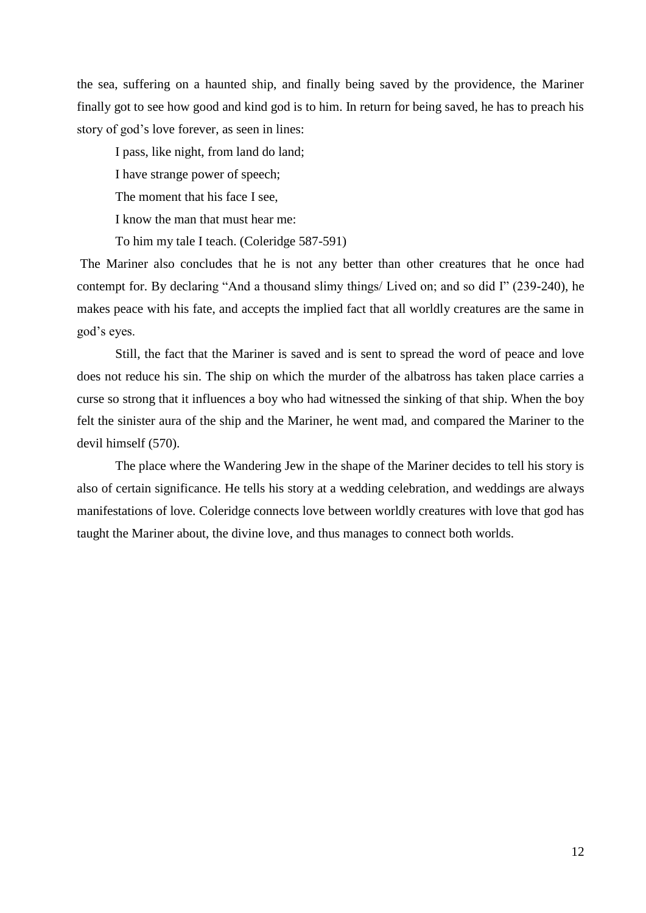the sea, suffering on a haunted ship, and finally being saved by the providence, the Mariner finally got to see how good and kind god is to him. In return for being saved, he has to preach his story of god's love forever, as seen in lines:

I pass, like night, from land do land; I have strange power of speech; The moment that his face I see, I know the man that must hear me:

To him my tale I teach. (Coleridge 587-591)

The Mariner also concludes that he is not any better than other creatures that he once had contempt for. By declaring "And a thousand slimy things/ Lived on; and so did I" (239-240), he makes peace with his fate, and accepts the implied fact that all worldly creatures are the same in god's eyes.

Still, the fact that the Mariner is saved and is sent to spread the word of peace and love does not reduce his sin. The ship on which the murder of the albatross has taken place carries a curse so strong that it influences a boy who had witnessed the sinking of that ship. When the boy felt the sinister aura of the ship and the Mariner, he went mad, and compared the Mariner to the devil himself (570).

The place where the Wandering Jew in the shape of the Mariner decides to tell his story is also of certain significance. He tells his story at a wedding celebration, and weddings are always manifestations of love. Coleridge connects love between worldly creatures with love that god has taught the Mariner about, the divine love, and thus manages to connect both worlds.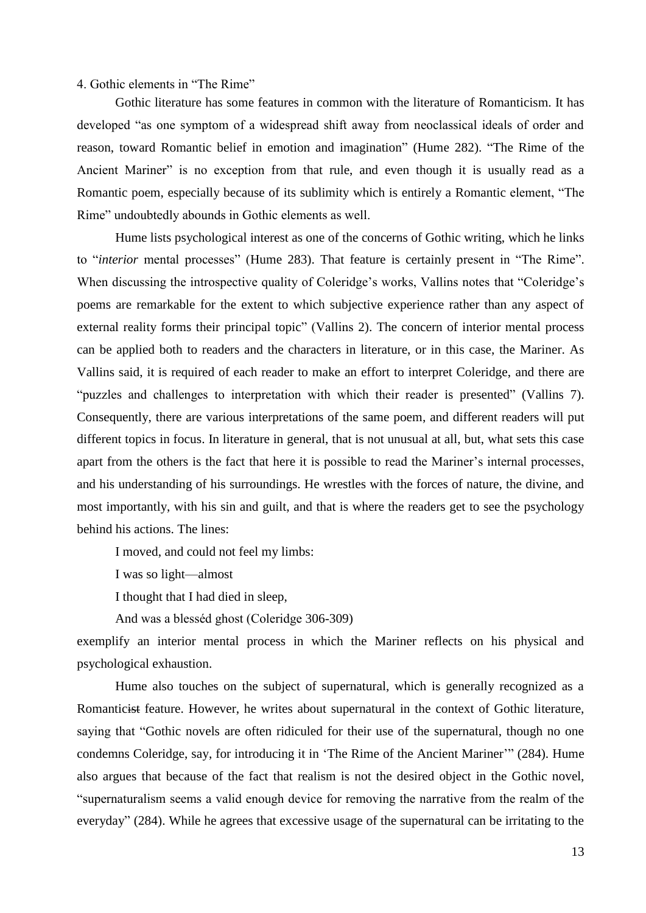### <span id="page-19-0"></span>4. Gothic elements in "The Rime"

Gothic literature has some features in common with the literature of Romanticism. It has developed "as one symptom of a widespread shift away from neoclassical ideals of order and reason, toward Romantic belief in emotion and imagination" (Hume 282). "The Rime of the Ancient Mariner" is no exception from that rule, and even though it is usually read as a Romantic poem, especially because of its sublimity which is entirely a Romantic element, "The Rime" undoubtedly abounds in Gothic elements as well.

Hume lists psychological interest as one of the concerns of Gothic writing, which he links to "*interior* mental processes" (Hume 283). That feature is certainly present in "The Rime". When discussing the introspective quality of Coleridge's works, Vallins notes that "Coleridge's poems are remarkable for the extent to which subjective experience rather than any aspect of external reality forms their principal topic" (Vallins 2). The concern of interior mental process can be applied both to readers and the characters in literature, or in this case, the Mariner. As Vallins said, it is required of each reader to make an effort to interpret Coleridge, and there are "puzzles and challenges to interpretation with which their reader is presented" (Vallins 7). Consequently, there are various interpretations of the same poem, and different readers will put different topics in focus. In literature in general, that is not unusual at all, but, what sets this case apart from the others is the fact that here it is possible to read the Mariner's internal processes, and his understanding of his surroundings. He wrestles with the forces of nature, the divine, and most importantly, with his sin and guilt, and that is where the readers get to see the psychology behind his actions. The lines:

I moved, and could not feel my limbs:

I was so light—almost

I thought that I had died in sleep,

And was a blesséd ghost (Coleridge 306-309)

exemplify an interior mental process in which the Mariner reflects on his physical and psychological exhaustion.

Hume also touches on the subject of supernatural, which is generally recognized as a Romanticist feature. However, he writes about supernatural in the context of Gothic literature, saying that "Gothic novels are often ridiculed for their use of the supernatural, though no one condemns Coleridge, say, for introducing it in 'The Rime of the Ancient Mariner'" (284). Hume also argues that because of the fact that realism is not the desired object in the Gothic novel, "supernaturalism seems a valid enough device for removing the narrative from the realm of the everyday" (284). While he agrees that excessive usage of the supernatural can be irritating to the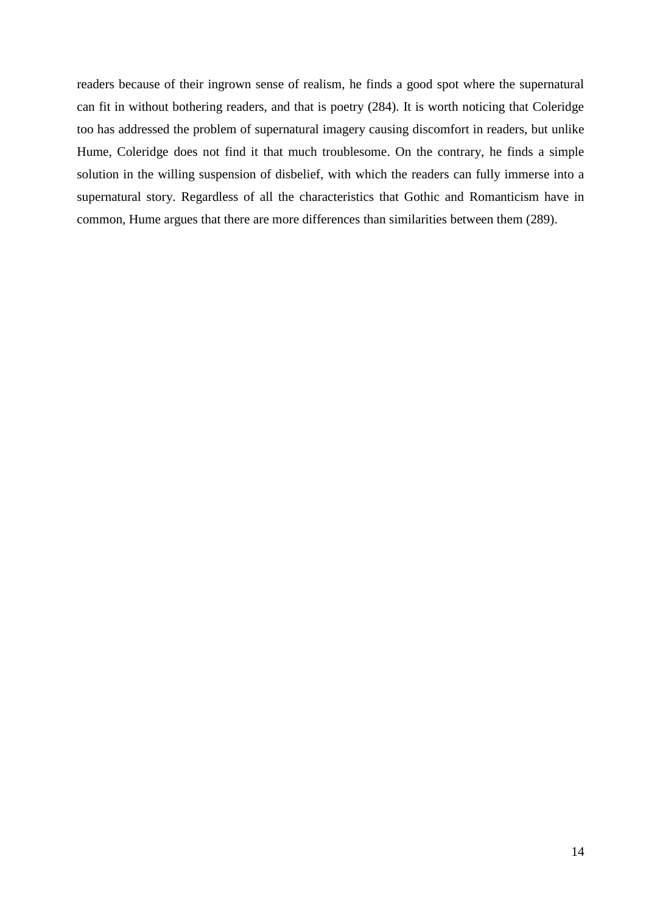<span id="page-20-0"></span>readers because of their ingrown sense of realism, he finds a good spot where the supernatural can fit in without bothering readers, and that is poetry (284). It is worth noticing that Coleridge too has addressed the problem of supernatural imagery causing discomfort in readers, but unlike Hume, Coleridge does not find it that much troublesome. On the contrary, he finds a simple solution in the willing suspension of disbelief, with which the readers can fully immerse into a supernatural story. Regardless of all the characteristics that Gothic and Romanticism have in common, Hume argues that there are more differences than similarities between them (289).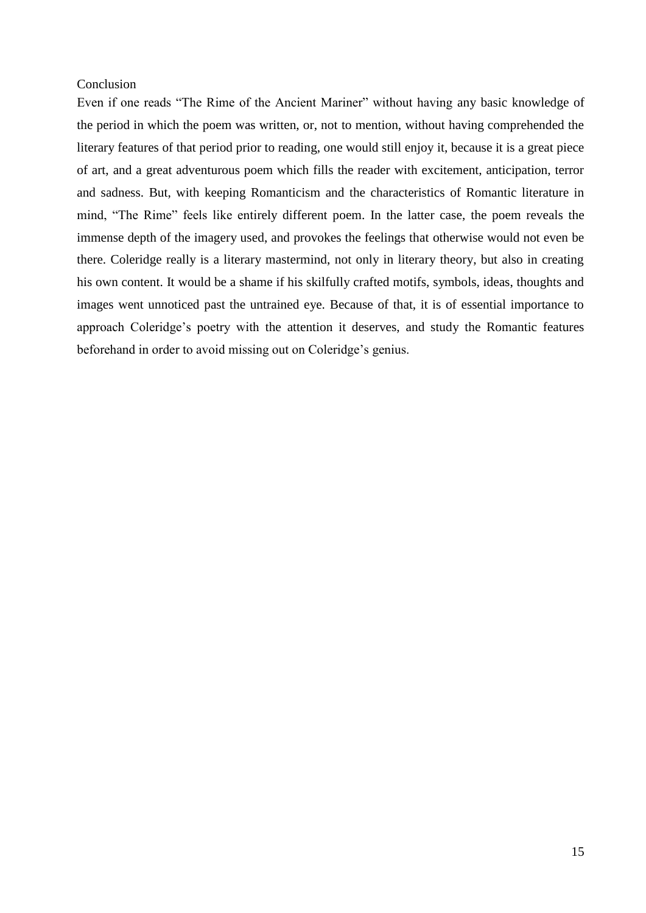# Conclusion

Even if one reads "The Rime of the Ancient Mariner" without having any basic knowledge of the period in which the poem was written, or, not to mention, without having comprehended the literary features of that period prior to reading, one would still enjoy it, because it is a great piece of art, and a great adventurous poem which fills the reader with excitement, anticipation, terror and sadness. But, with keeping Romanticism and the characteristics of Romantic literature in mind, "The Rime" feels like entirely different poem. In the latter case, the poem reveals the immense depth of the imagery used, and provokes the feelings that otherwise would not even be there. Coleridge really is a literary mastermind, not only in literary theory, but also in creating his own content. It would be a shame if his skilfully crafted motifs, symbols, ideas, thoughts and images went unnoticed past the untrained eye. Because of that, it is of essential importance to approach Coleridge's poetry with the attention it deserves, and study the Romantic features beforehand in order to avoid missing out on Coleridge's genius.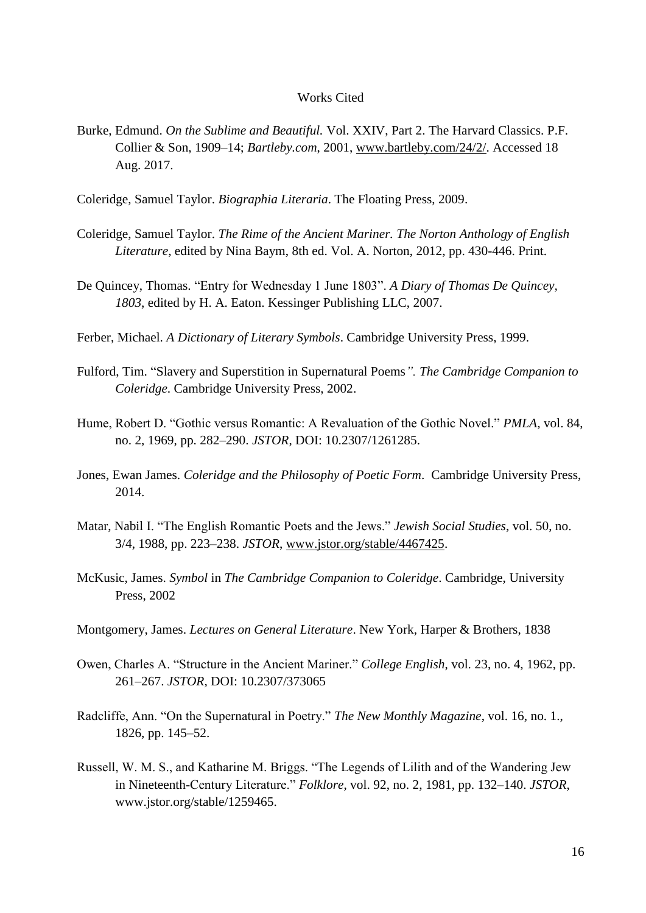#### Works Cited

<span id="page-22-0"></span>Burke, Edmund. *On the Sublime and Beautiful.* Vol. XXIV, Part 2. The Harvard Classics. P.F. Collier & Son, 1909–14; *Bartleby.com*, 2001, [www.bartleby.com/24/2/.](http://www.bartleby.com/24/2/) Accessed 18 Aug. 2017.

Coleridge, Samuel Taylor. *Biographia Literaria*. The Floating Press, 2009.

- Coleridge, Samuel Taylor. *The Rime of the Ancient Mariner. The Norton Anthology of English Literature*, edited by Nina Baym, 8th ed. Vol. A. Norton, 2012, pp. 430-446. Print.
- De Quincey, Thomas. "Entry for Wednesday 1 June 1803". *A Diary of Thomas De Quincey, 1803*, edited by H. A. Eaton. Kessinger Publishing LLC, 2007.
- Ferber, Michael. *A Dictionary of Literary Symbols*. Cambridge University Press, 1999.
- Fulford, Tim. "Slavery and Superstition in Supernatural Poems*". The Cambridge Companion to Coleridge*. Cambridge University Press, 2002.
- Hume, Robert D. "Gothic versus Romantic: A Revaluation of the Gothic Novel." *PMLA*, vol. 84, no. 2, 1969, pp. 282–290. *JSTOR*, DOI: 10.2307/1261285.
- Jones, Ewan James. *Coleridge and the Philosophy of Poetic Form*. Cambridge University Press, 2014.
- Matar, Nabil I. "The English Romantic Poets and the Jews." *Jewish Social Studies*, vol. 50, no. 3/4, 1988, pp. 223–238. *JSTOR*, [www.jstor.org/stable/4467425.](http://www.jstor.org/stable/4467425)
- McKusic, James. *Symbol* in *The Cambridge Companion to Coleridge*. Cambridge, University Press, 2002
- Montgomery, James. *Lectures on General Literature*. New York, Harper & Brothers, 1838
- Owen, Charles A. "Structure in the Ancient Mariner." *College English*, vol. 23, no. 4, 1962, pp. 261–267. *JSTOR*, DOI: 10.2307/373065
- Radcliffe, Ann. "On the Supernatural in Poetry." *The New Monthly Magazine*, vol. 16, no. 1., 1826, pp. 145–52.
- Russell, W. M. S., and Katharine M. Briggs. "The Legends of Lilith and of the Wandering Jew in Nineteenth-Century Literature." *Folklore*, vol. 92, no. 2, 1981, pp. 132–140. *JSTOR*, www.jstor.org/stable/1259465.